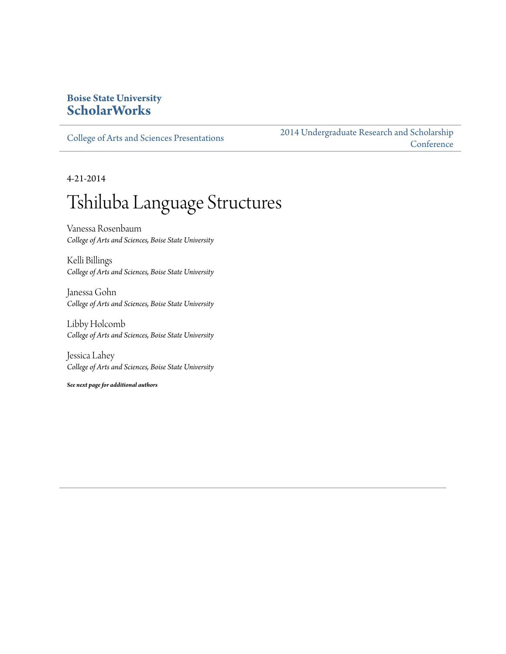#### **Boise State University [ScholarWorks](http://scholarworks.boisestate.edu)**

[College of Arts and Sciences Presentations](http://scholarworks.boisestate.edu/as_14)

[2014 Undergraduate Research and Scholarship](http://scholarworks.boisestate.edu/2014_under_conf) **[Conference](http://scholarworks.boisestate.edu/2014_under_conf)** 

4-21-2014

### Tshiluba Language Structures

Vanessa Rosenbaum *College of Arts and Sciences, Boise State University*

Kelli Billings *College of Arts and Sciences, Boise State University*

Janessa Gohn *College of Arts and Sciences, Boise State University*

Libby Holcomb *College of Arts and Sciences, Boise State University*

Jessica Lahey *College of Arts and Sciences, Boise State University*

*See next page for additional authors*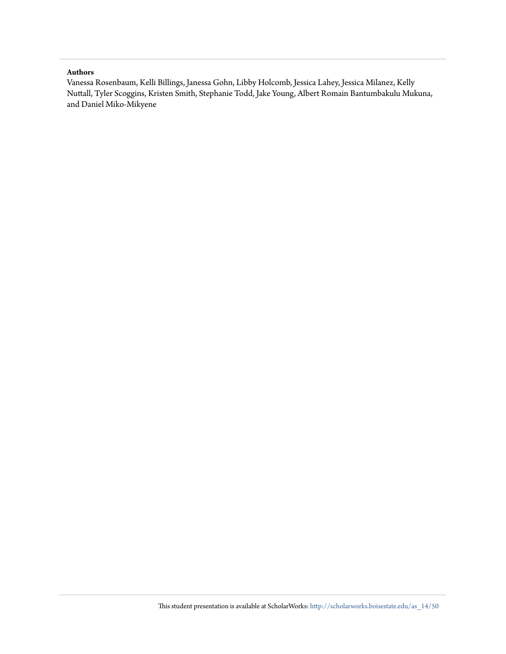#### **Authors**

Vanessa Rosenbaum, Kelli Billings, Janessa Gohn, Libby Holcomb, Jessica Lahey, Jessica Milanez, Kelly Nuttall, Tyler Scoggins, Kristen Smith, Stephanie Todd, Jake Young, Albert Romain Bantumbakulu Mukuna, and Daniel Miko-Mikyene